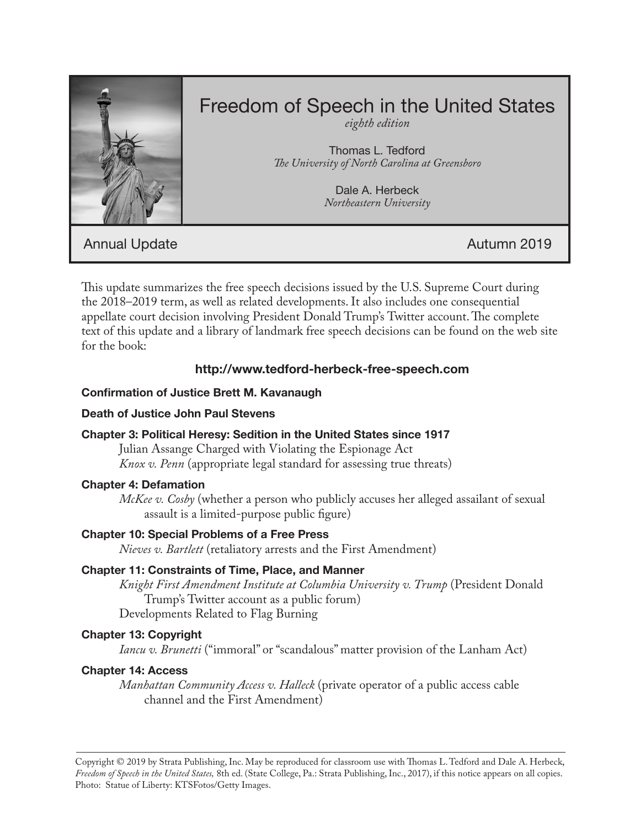

# Freedom of Speech in the United States

*eighth edition*

Thomas L. Tedford *The University of North Carolina at Greensboro*

> Dale A. Herbeck *Northeastern University*

Annual Update **Autumn 2019** 

This update summarizes the free speech decisions issued by the U.S. Supreme Court during the 2018–2019 term, as well as related developments. It also includes one consequential appellate court decision involving President Donald Trump's Twitter account. The complete text of this update and a library of landmark free speech decisions can be found on the web site for the book:

# **http://www.tedford-herbeck-free-speech.com**

# **Confirmation of Justice Brett M. Kavanaugh**

## **Death of Justice John Paul Stevens**

# **Chapter 3: Political Heresy: Sedition in the United States since 1917**

Julian Assange Charged with Violating the Espionage Act *Knox v. Penn* (appropriate legal standard for assessing true threats)

#### **Chapter 4: Defamation**

*McKee v. Cosby* (whether a person who publicly accuses her alleged assailant of sexual assault is a limited-purpose public figure)

# **Chapter 10: Special Problems of a Free Press**

*Nieves v. Bartlett* (retaliatory arrests and the First Amendment)

# **Chapter 11: Constraints of Time, Place, and Manner**

*Knight First Amendment Institute at Columbia University v. Trump* (President Donald Trump's Twitter account as a public forum) Developments Related to Flag Burning

# **Chapter 13: Copyright**

*Iancu v. Brunetti* ("immoral" or "scandalous" matter provision of the Lanham Act)

# **Chapter 14: Access**

*Manhattan Community Access v. Halleck* (private operator of a public access cable channel and the First Amendment)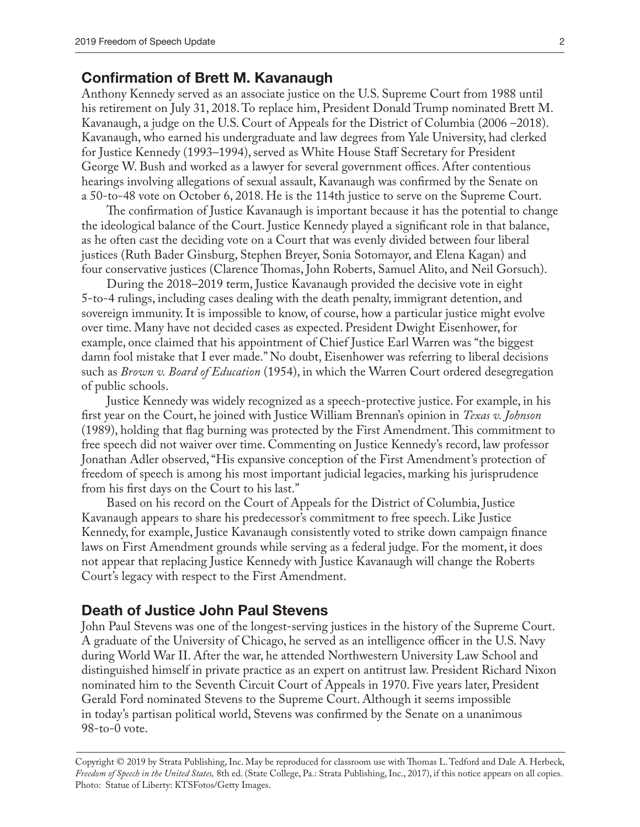#### **Confirmation of Brett M. Kavanaugh**

Anthony Kennedy served as an associate justice on the U.S. Supreme Court from 1988 until his retirement on July 31, 2018. To replace him, President Donald Trump nominated Brett M. Kavanaugh, a judge on the U.S. Court of Appeals for the District of Columbia (2006 –2018). Kavanaugh, who earned his undergraduate and law degrees from Yale University, had clerked for Justice Kennedy (1993–1994), served as White House Staff Secretary for President George W. Bush and worked as a lawyer for several government offices. After contentious hearings involving allegations of sexual assault, Kavanaugh was confirmed by the Senate on a 50-to-48 vote on October 6, 2018. He is the 114th justice to serve on the Supreme Court.

The confirmation of Justice Kavanaugh is important because it has the potential to change the ideological balance of the Court. Justice Kennedy played a significant role in that balance, as he often cast the deciding vote on a Court that was evenly divided between four liberal justices (Ruth Bader Ginsburg, Stephen Breyer, Sonia Sotomayor, and Elena Kagan) and four conservative justices (Clarence Thomas, John Roberts, Samuel Alito, and Neil Gorsuch).

During the 2018–2019 term, Justice Kavanaugh provided the decisive vote in eight 5-to-4 rulings, including cases dealing with the death penalty, immigrant detention, and sovereign immunity. It is impossible to know, of course, how a particular justice might evolve over time. Many have not decided cases as expected. President Dwight Eisenhower, for example, once claimed that his appointment of Chief Justice Earl Warren was "the biggest damn fool mistake that I ever made." No doubt, Eisenhower was referring to liberal decisions such as *Brown v. Board of Education* (1954), in which the Warren Court ordered desegregation of public schools.

Justice Kennedy was widely recognized as a speech-protective justice. For example, in his first year on the Court, he joined with Justice William Brennan's opinion in *Texas v. Johnson* (1989), holding that flag burning was protected by the First Amendment. This commitment to free speech did not waiver over time. Commenting on Justice Kennedy's record, law professor Jonathan Adler observed, "His expansive conception of the First Amendment's protection of freedom of speech is among his most important judicial legacies, marking his jurisprudence from his first days on the Court to his last."

Based on his record on the Court of Appeals for the District of Columbia, Justice Kavanaugh appears to share his predecessor's commitment to free speech. Like Justice Kennedy, for example, Justice Kavanaugh consistently voted to strike down campaign finance laws on First Amendment grounds while serving as a federal judge. For the moment, it does not appear that replacing Justice Kennedy with Justice Kavanaugh will change the Roberts Court's legacy with respect to the First Amendment.

#### **Death of Justice John Paul Stevens**

John Paul Stevens was one of the longest-serving justices in the history of the Supreme Court. A graduate of the University of Chicago, he served as an intelligence officer in the U.S. Navy during World War II. After the war, he attended Northwestern University Law School and distinguished himself in private practice as an expert on antitrust law. President Richard Nixon nominated him to the Seventh Circuit Court of Appeals in 1970. Five years later, President Gerald Ford nominated Stevens to the Supreme Court. Although it seems impossible in today's partisan political world, Stevens was confirmed by the Senate on a unanimous 98-to-0 vote.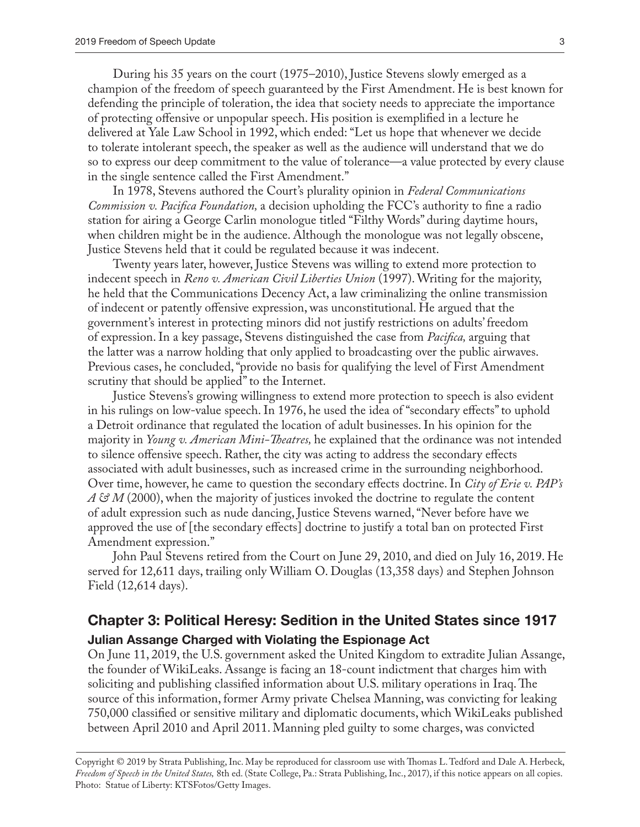During his 35 years on the court (1975–2010), Justice Stevens slowly emerged as a champion of the freedom of speech guaranteed by the First Amendment. He is best known for defending the principle of toleration, the idea that society needs to appreciate the importance of protecting offensive or unpopular speech. His position is exemplified in a lecture he delivered at Yale Law School in 1992, which ended: "Let us hope that whenever we decide to tolerate intolerant speech, the speaker as well as the audience will understand that we do so to express our deep commitment to the value of tolerance—a value protected by every clause in the single sentence called the First Amendment."

In 1978, Stevens authored the Court's plurality opinion in *Federal Communications Commission v. Pacifica Foundation,* a decision upholding the FCC's authority to fine a radio station for airing a George Carlin monologue titled "Filthy Words" during daytime hours, when children might be in the audience. Although the monologue was not legally obscene, Justice Stevens held that it could be regulated because it was indecent.

Twenty years later, however, Justice Stevens was willing to extend more protection to indecent speech in *Reno v. American Civil Liberties Union* (1997). Writing for the majority, he held that the Communications Decency Act, a law criminalizing the online transmission of indecent or patently offensive expression, was unconstitutional. He argued that the government's interest in protecting minors did not justify restrictions on adults' freedom of expression. In a key passage, Stevens distinguished the case from *Pacifica,* arguing that the latter was a narrow holding that only applied to broadcasting over the public airwaves. Previous cases, he concluded, "provide no basis for qualifying the level of First Amendment scrutiny that should be applied" to the Internet.

Justice Stevens's growing willingness to extend more protection to speech is also evident in his rulings on low-value speech. In 1976, he used the idea of "secondary effects" to uphold a Detroit ordinance that regulated the location of adult businesses. In his opinion for the majority in *Young v. American Mini-Theatres,* he explained that the ordinance was not intended to silence offensive speech. Rather, the city was acting to address the secondary effects associated with adult businesses, such as increased crime in the surrounding neighborhood. Over time, however, he came to question the secondary effects doctrine. In *City of Erie v. PAP's*  A & *M* (2000), when the majority of justices invoked the doctrine to regulate the content of adult expression such as nude dancing, Justice Stevens warned, "Never before have we approved the use of [the secondary effects] doctrine to justify a total ban on protected First Amendment expression."

John Paul Stevens retired from the Court on June 29, 2010, and died on July 16, 2019. He served for 12,611 days, trailing only William O. Douglas (13,358 days) and Stephen Johnson Field (12,614 days).

# **Chapter 3: Political Heresy: Sedition in the United States since 1917 Julian Assange Charged with Violating the Espionage Act**

On June 11, 2019, the U.S. government asked the United Kingdom to extradite Julian Assange, the founder of WikiLeaks. Assange is facing an 18-count indictment that charges him with soliciting and publishing classified information about U.S. military operations in Iraq. The source of this information, former Army private Chelsea Manning, was convicting for leaking 750,000 classified or sensitive military and diplomatic documents, which WikiLeaks published between April 2010 and April 2011. Manning pled guilty to some charges, was convicted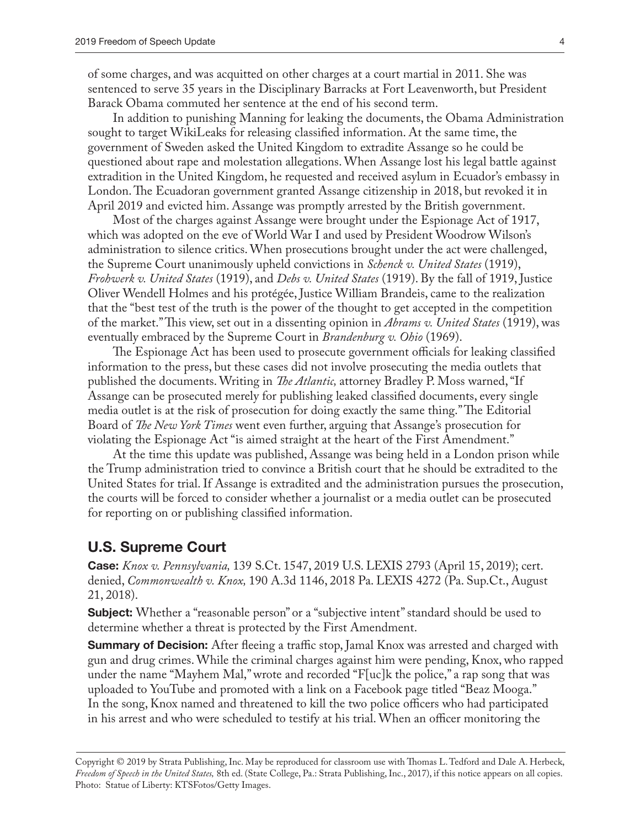of some charges, and was acquitted on other charges at a court martial in 2011. She was sentenced to serve 35 years in the Disciplinary Barracks at Fort Leavenworth, but President Barack Obama commuted her sentence at the end of his second term.

In addition to punishing Manning for leaking the documents, the Obama Administration sought to target WikiLeaks for releasing classified information. At the same time, the government of Sweden asked the United Kingdom to extradite Assange so he could be questioned about rape and molestation allegations. When Assange lost his legal battle against extradition in the United Kingdom, he requested and received asylum in Ecuador's embassy in London. The Ecuadoran government granted Assange citizenship in 2018, but revoked it in April 2019 and evicted him. Assange was promptly arrested by the British government.

Most of the charges against Assange were brought under the Espionage Act of 1917, which was adopted on the eve of World War I and used by President Woodrow Wilson's administration to silence critics. When prosecutions brought under the act were challenged, the Supreme Court unanimously upheld convictions in *Schenck v. United States* (1919), *Frohwerk v. United States* (1919), and *Debs v. United States* (1919). By the fall of 1919, Justice Oliver Wendell Holmes and his protégée, Justice William Brandeis, came to the realization that the "best test of the truth is the power of the thought to get accepted in the competition of the market." This view, set out in a dissenting opinion in *Abrams v. United States* (1919), was eventually embraced by the Supreme Court in *Brandenburg v. Ohio* (1969).

The Espionage Act has been used to prosecute government officials for leaking classified information to the press, but these cases did not involve prosecuting the media outlets that published the documents. Writing in *The Atlantic,* attorney Bradley P. Moss warned, "If Assange can be prosecuted merely for publishing leaked classified documents, every single media outlet is at the risk of prosecution for doing exactly the same thing." The Editorial Board of *The New York Times* went even further, arguing that Assange's prosecution for violating the Espionage Act "is aimed straight at the heart of the First Amendment."

At the time this update was published, Assange was being held in a London prison while the Trump administration tried to convince a British court that he should be extradited to the United States for trial. If Assange is extradited and the administration pursues the prosecution, the courts will be forced to consider whether a journalist or a media outlet can be prosecuted for reporting on or publishing classified information.

#### **U.S. Supreme Court**

**Case:** *Knox v. Pennsylvania,* 139 S.Ct. 1547, 2019 U.S. LEXIS 2793 (April 15, 2019); cert. denied, *Commonwealth v. Knox,* 190 A.3d 1146, 2018 Pa. LEXIS 4272 (Pa. Sup.Ct., August 21, 2018).

**Subject:** Whether a "reasonable person" or a "subjective intent" standard should be used to determine whether a threat is protected by the First Amendment.

**Summary of Decision:** After fleeing a traffic stop, Jamal Knox was arrested and charged with gun and drug crimes. While the criminal charges against him were pending, Knox, who rapped under the name "Mayhem Mal," wrote and recorded "F[uc]k the police," a rap song that was uploaded to YouTube and promoted with a link on a Facebook page titled "Beaz Mooga." In the song, Knox named and threatened to kill the two police officers who had participated in his arrest and who were scheduled to testify at his trial. When an officer monitoring the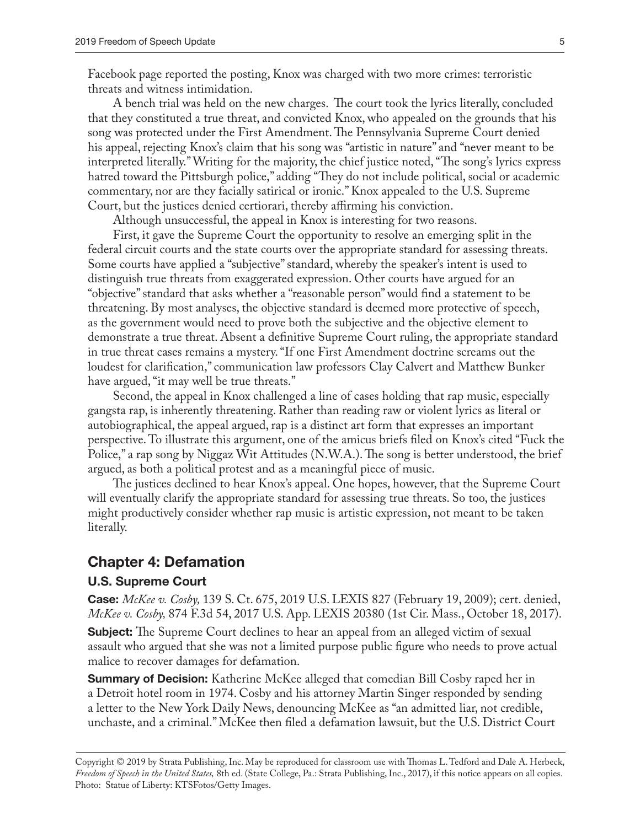Facebook page reported the posting, Knox was charged with two more crimes: terroristic threats and witness intimidation.

A bench trial was held on the new charges. The court took the lyrics literally, concluded that they constituted a true threat, and convicted Knox, who appealed on the grounds that his song was protected under the First Amendment. The Pennsylvania Supreme Court denied his appeal, rejecting Knox's claim that his song was "artistic in nature" and "never meant to be interpreted literally." Writing for the majority, the chief justice noted, "The song's lyrics express hatred toward the Pittsburgh police," adding "They do not include political, social or academic commentary, nor are they facially satirical or ironic." Knox appealed to the U.S. Supreme Court, but the justices denied certiorari, thereby affirming his conviction.

Although unsuccessful, the appeal in Knox is interesting for two reasons.

First, it gave the Supreme Court the opportunity to resolve an emerging split in the federal circuit courts and the state courts over the appropriate standard for assessing threats. Some courts have applied a "subjective" standard, whereby the speaker's intent is used to distinguish true threats from exaggerated expression. Other courts have argued for an "objective" standard that asks whether a "reasonable person" would find a statement to be threatening. By most analyses, the objective standard is deemed more protective of speech, as the government would need to prove both the subjective and the objective element to demonstrate a true threat. Absent a definitive Supreme Court ruling, the appropriate standard in true threat cases remains a mystery. "If one First Amendment doctrine screams out the loudest for clarification," communication law professors Clay Calvert and Matthew Bunker have argued, "it may well be true threats."

Second, the appeal in Knox challenged a line of cases holding that rap music, especially gangsta rap, is inherently threatening. Rather than reading raw or violent lyrics as literal or autobiographical, the appeal argued, rap is a distinct art form that expresses an important perspective. To illustrate this argument, one of the amicus briefs filed on Knox's cited "Fuck the Police," a rap song by Niggaz Wit Attitudes (N.W.A.). The song is better understood, the brief argued, as both a political protest and as a meaningful piece of music.

The justices declined to hear Knox's appeal. One hopes, however, that the Supreme Court will eventually clarify the appropriate standard for assessing true threats. So too, the justices might productively consider whether rap music is artistic expression, not meant to be taken literally.

#### **Chapter 4: Defamation**

#### **U.S. Supreme Court**

**Case:** *McKee v. Cosby,* 139 S. Ct. 675, 2019 U.S. LEXIS 827 (February 19, 2009); cert. denied, *McKee v. Cosby,* 874 F.3d 54, 2017 U.S. App. LEXIS 20380 (1st Cir. Mass., October 18, 2017).

**Subject:** The Supreme Court declines to hear an appeal from an alleged victim of sexual assault who argued that she was not a limited purpose public figure who needs to prove actual malice to recover damages for defamation.

**Summary of Decision:** Katherine McKee alleged that comedian Bill Cosby raped her in a Detroit hotel room in 1974. Cosby and his attorney Martin Singer responded by sending a letter to the New York Daily News, denouncing McKee as "an admitted liar, not credible, unchaste, and a criminal." McKee then filed a defamation lawsuit, but the U.S. District Court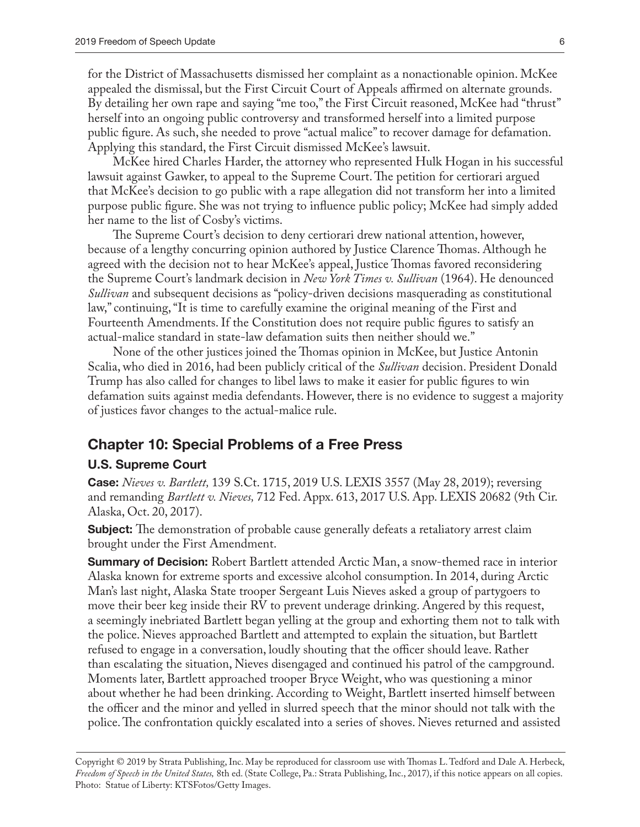for the District of Massachusetts dismissed her complaint as a nonactionable opinion. McKee appealed the dismissal, but the First Circuit Court of Appeals affirmed on alternate grounds. By detailing her own rape and saying "me too," the First Circuit reasoned, McKee had "thrust" herself into an ongoing public controversy and transformed herself into a limited purpose public figure. As such, she needed to prove "actual malice" to recover damage for defamation. Applying this standard, the First Circuit dismissed McKee's lawsuit.

McKee hired Charles Harder, the attorney who represented Hulk Hogan in his successful lawsuit against Gawker, to appeal to the Supreme Court. The petition for certiorari argued that McKee's decision to go public with a rape allegation did not transform her into a limited purpose public figure. She was not trying to influence public policy; McKee had simply added her name to the list of Cosby's victims.

The Supreme Court's decision to deny certiorari drew national attention, however, because of a lengthy concurring opinion authored by Justice Clarence Thomas. Although he agreed with the decision not to hear McKee's appeal, Justice Thomas favored reconsidering the Supreme Court's landmark decision in *New York Times v. Sullivan* (1964). He denounced *Sullivan* and subsequent decisions as "policy-driven decisions masquerading as constitutional law," continuing, "It is time to carefully examine the original meaning of the First and Fourteenth Amendments. If the Constitution does not require public figures to satisfy an actual-malice standard in state-law defamation suits then neither should we."

None of the other justices joined the Thomas opinion in McKee, but Justice Antonin Scalia, who died in 2016, had been publicly critical of the *Sullivan* decision. President Donald Trump has also called for changes to libel laws to make it easier for public figures to win defamation suits against media defendants. However, there is no evidence to suggest a majority of justices favor changes to the actual-malice rule.

# **Chapter 10: Special Problems of a Free Press**

#### **U.S. Supreme Court**

**Case:** *Nieves v. Bartlett,* 139 S.Ct. 1715, 2019 U.S. LEXIS 3557 (May 28, 2019); reversing and remanding *Bartlett v. Nieves,* 712 Fed. Appx. 613, 2017 U.S. App. LEXIS 20682 (9th Cir. Alaska, Oct. 20, 2017).

**Subject:** The demonstration of probable cause generally defeats a retaliatory arrest claim brought under the First Amendment.

**Summary of Decision:** Robert Bartlett attended Arctic Man, a snow-themed race in interior Alaska known for extreme sports and excessive alcohol consumption. In 2014, during Arctic Man's last night, Alaska State trooper Sergeant Luis Nieves asked a group of partygoers to move their beer keg inside their RV to prevent underage drinking. Angered by this request, a seemingly inebriated Bartlett began yelling at the group and exhorting them not to talk with the police. Nieves approached Bartlett and attempted to explain the situation, but Bartlett refused to engage in a conversation, loudly shouting that the officer should leave. Rather than escalating the situation, Nieves disengaged and continued his patrol of the campground. Moments later, Bartlett approached trooper Bryce Weight, who was questioning a minor about whether he had been drinking. According to Weight, Bartlett inserted himself between the officer and the minor and yelled in slurred speech that the minor should not talk with the police. The confrontation quickly escalated into a series of shoves. Nieves returned and assisted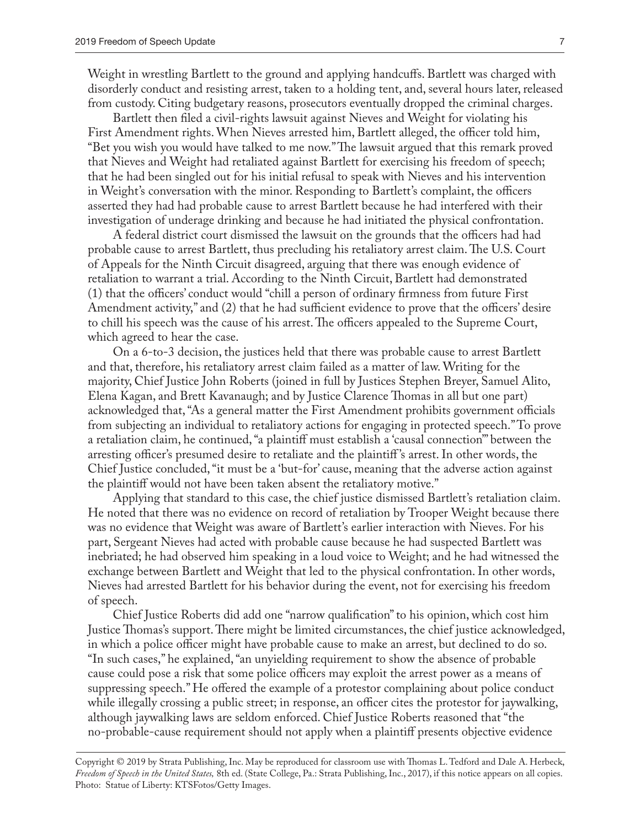Weight in wrestling Bartlett to the ground and applying handcuffs. Bartlett was charged with disorderly conduct and resisting arrest, taken to a holding tent, and, several hours later, released from custody. Citing budgetary reasons, prosecutors eventually dropped the criminal charges.

Bartlett then filed a civil-rights lawsuit against Nieves and Weight for violating his First Amendment rights. When Nieves arrested him, Bartlett alleged, the officer told him, "Bet you wish you would have talked to me now." The lawsuit argued that this remark proved that Nieves and Weight had retaliated against Bartlett for exercising his freedom of speech; that he had been singled out for his initial refusal to speak with Nieves and his intervention in Weight's conversation with the minor. Responding to Bartlett's complaint, the officers asserted they had had probable cause to arrest Bartlett because he had interfered with their investigation of underage drinking and because he had initiated the physical confrontation.

A federal district court dismissed the lawsuit on the grounds that the officers had had probable cause to arrest Bartlett, thus precluding his retaliatory arrest claim. The U.S. Court of Appeals for the Ninth Circuit disagreed, arguing that there was enough evidence of retaliation to warrant a trial. According to the Ninth Circuit, Bartlett had demonstrated (1) that the officers' conduct would "chill a person of ordinary firmness from future First Amendment activity," and (2) that he had sufficient evidence to prove that the officers' desire to chill his speech was the cause of his arrest. The officers appealed to the Supreme Court, which agreed to hear the case.

On a 6-to-3 decision, the justices held that there was probable cause to arrest Bartlett and that, therefore, his retaliatory arrest claim failed as a matter of law. Writing for the majority, Chief Justice John Roberts (joined in full by Justices Stephen Breyer, Samuel Alito, Elena Kagan, and Brett Kavanaugh; and by Justice Clarence Thomas in all but one part) acknowledged that, "As a general matter the First Amendment prohibits government officials from subjecting an individual to retaliatory actions for engaging in protected speech." To prove a retaliation claim, he continued, "a plaintiff must establish a 'causal connection'" between the arresting officer's presumed desire to retaliate and the plaintiff 's arrest. In other words, the Chief Justice concluded, "it must be a 'but-for' cause, meaning that the adverse action against the plaintiff would not have been taken absent the retaliatory motive."

Applying that standard to this case, the chief justice dismissed Bartlett's retaliation claim. He noted that there was no evidence on record of retaliation by Trooper Weight because there was no evidence that Weight was aware of Bartlett's earlier interaction with Nieves. For his part, Sergeant Nieves had acted with probable cause because he had suspected Bartlett was inebriated; he had observed him speaking in a loud voice to Weight; and he had witnessed the exchange between Bartlett and Weight that led to the physical confrontation. In other words, Nieves had arrested Bartlett for his behavior during the event, not for exercising his freedom of speech.

Chief Justice Roberts did add one "narrow qualification" to his opinion, which cost him Justice Thomas's support. There might be limited circumstances, the chief justice acknowledged, in which a police officer might have probable cause to make an arrest, but declined to do so. "In such cases," he explained, "an unyielding requirement to show the absence of probable cause could pose a risk that some police officers may exploit the arrest power as a means of suppressing speech." He offered the example of a protestor complaining about police conduct while illegally crossing a public street; in response, an officer cites the protestor for jaywalking, although jaywalking laws are seldom enforced. Chief Justice Roberts reasoned that "the no-probable-cause requirement should not apply when a plaintiff presents objective evidence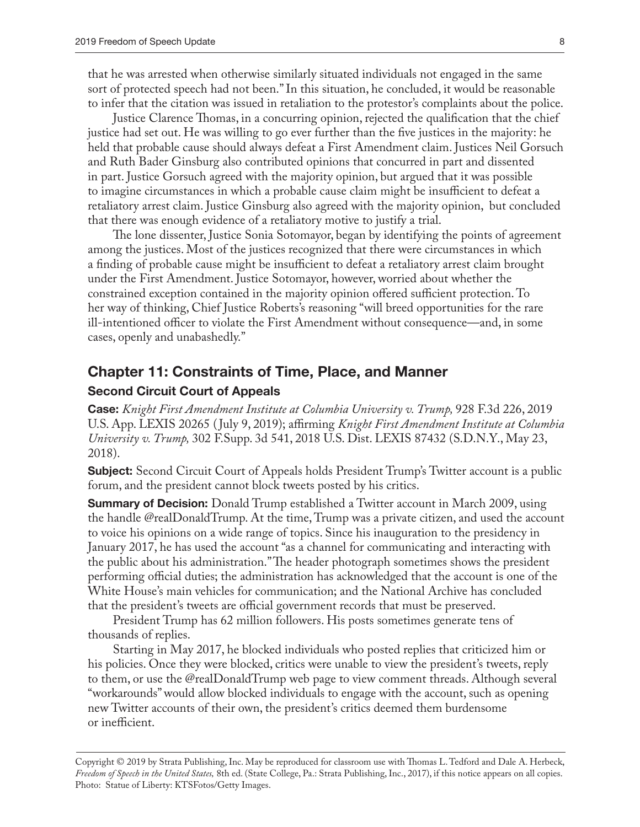that he was arrested when otherwise similarly situated individuals not engaged in the same sort of protected speech had not been." In this situation, he concluded, it would be reasonable to infer that the citation was issued in retaliation to the protestor's complaints about the police.

Justice Clarence Thomas, in a concurring opinion, rejected the qualification that the chief justice had set out. He was willing to go ever further than the five justices in the majority: he held that probable cause should always defeat a First Amendment claim. Justices Neil Gorsuch and Ruth Bader Ginsburg also contributed opinions that concurred in part and dissented in part. Justice Gorsuch agreed with the majority opinion, but argued that it was possible to imagine circumstances in which a probable cause claim might be insufficient to defeat a retaliatory arrest claim. Justice Ginsburg also agreed with the majority opinion, but concluded that there was enough evidence of a retaliatory motive to justify a trial.

The lone dissenter, Justice Sonia Sotomayor, began by identifying the points of agreement among the justices. Most of the justices recognized that there were circumstances in which a finding of probable cause might be insufficient to defeat a retaliatory arrest claim brought under the First Amendment. Justice Sotomayor, however, worried about whether the constrained exception contained in the majority opinion offered sufficient protection. To her way of thinking, Chief Justice Roberts's reasoning "will breed opportunities for the rare ill-intentioned officer to violate the First Amendment without consequence—and, in some cases, openly and unabashedly."

#### **Chapter 11: Constraints of Time, Place, and Manner**

#### **Second Circuit Court of Appeals**

**Case:** *Knight First Amendment Institute at Columbia University v. Trump,* 928 F.3d 226, 2019 U.S. App. LEXIS 20265 ( July 9, 2019); affirming *Knight First Amendment Institute at Columbia University v. Trump,* 302 F.Supp. 3d 541, 2018 U.S. Dist. LEXIS 87432 (S.D.N.Y., May 23, 2018).

**Subject:** Second Circuit Court of Appeals holds President Trump's Twitter account is a public forum, and the president cannot block tweets posted by his critics.

**Summary of Decision:** Donald Trump established a Twitter account in March 2009, using the handle @realDonaldTrump. At the time, Trump was a private citizen, and used the account to voice his opinions on a wide range of topics. Since his inauguration to the presidency in January 2017, he has used the account "as a channel for communicating and interacting with the public about his administration." The header photograph sometimes shows the president performing official duties; the administration has acknowledged that the account is one of the White House's main vehicles for communication; and the National Archive has concluded that the president's tweets are official government records that must be preserved.

President Trump has 62 million followers. His posts sometimes generate tens of thousands of replies.

Starting in May 2017, he blocked individuals who posted replies that criticized him or his policies. Once they were blocked, critics were unable to view the president's tweets, reply to them, or use the @realDonaldTrump web page to view comment threads. Although several "workarounds" would allow blocked individuals to engage with the account, such as opening new Twitter accounts of their own, the president's critics deemed them burdensome or inefficient.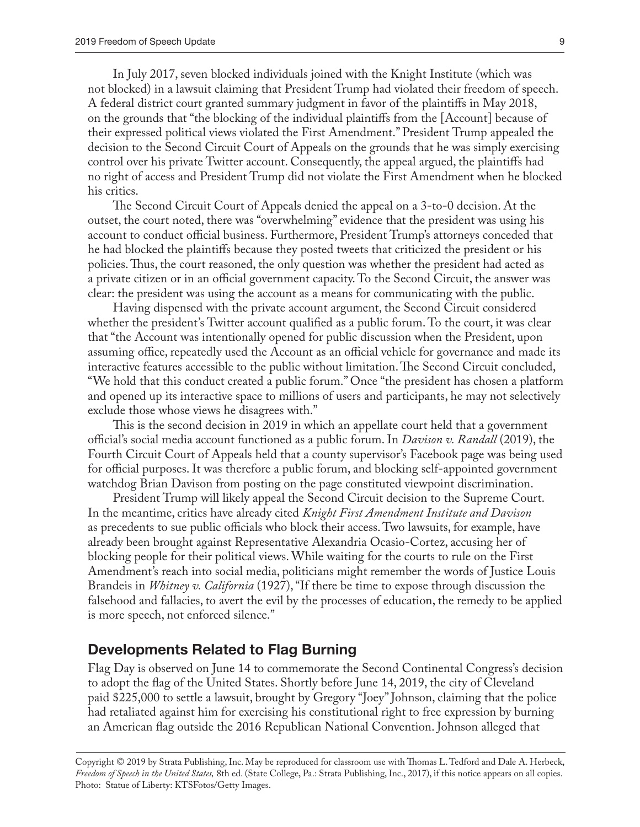In July 2017, seven blocked individuals joined with the Knight Institute (which was not blocked) in a lawsuit claiming that President Trump had violated their freedom of speech. A federal district court granted summary judgment in favor of the plaintiffs in May 2018, on the grounds that "the blocking of the individual plaintiffs from the [Account] because of their expressed political views violated the First Amendment." President Trump appealed the decision to the Second Circuit Court of Appeals on the grounds that he was simply exercising control over his private Twitter account. Consequently, the appeal argued, the plaintiffs had no right of access and President Trump did not violate the First Amendment when he blocked his critics.

The Second Circuit Court of Appeals denied the appeal on a 3-to-0 decision. At the outset, the court noted, there was "overwhelming" evidence that the president was using his account to conduct official business. Furthermore, President Trump's attorneys conceded that he had blocked the plaintiffs because they posted tweets that criticized the president or his policies. Thus, the court reasoned, the only question was whether the president had acted as a private citizen or in an official government capacity. To the Second Circuit, the answer was clear: the president was using the account as a means for communicating with the public.

Having dispensed with the private account argument, the Second Circuit considered whether the president's Twitter account qualified as a public forum. To the court, it was clear that "the Account was intentionally opened for public discussion when the President, upon assuming office, repeatedly used the Account as an official vehicle for governance and made its interactive features accessible to the public without limitation. The Second Circuit concluded, "We hold that this conduct created a public forum." Once "the president has chosen a platform and opened up its interactive space to millions of users and participants, he may not selectively exclude those whose views he disagrees with."

This is the second decision in 2019 in which an appellate court held that a government official's social media account functioned as a public forum. In *Davison v. Randall* (2019), the Fourth Circuit Court of Appeals held that a county supervisor's Facebook page was being used for official purposes. It was therefore a public forum, and blocking self-appointed government watchdog Brian Davison from posting on the page constituted viewpoint discrimination.

President Trump will likely appeal the Second Circuit decision to the Supreme Court. In the meantime, critics have already cited *Knight First Amendment Institute and Davison*  as precedents to sue public officials who block their access. Two lawsuits, for example, have already been brought against Representative Alexandria Ocasio-Cortez, accusing her of blocking people for their political views. While waiting for the courts to rule on the First Amendment's reach into social media, politicians might remember the words of Justice Louis Brandeis in *Whitney v. California* (1927), "If there be time to expose through discussion the falsehood and fallacies, to avert the evil by the processes of education, the remedy to be applied is more speech, not enforced silence."

## **Developments Related to Flag Burning**

Flag Day is observed on June 14 to commemorate the Second Continental Congress's decision to adopt the flag of the United States. Shortly before June 14, 2019, the city of Cleveland paid \$225,000 to settle a lawsuit, brought by Gregory "Joey" Johnson, claiming that the police had retaliated against him for exercising his constitutional right to free expression by burning an American flag outside the 2016 Republican National Convention. Johnson alleged that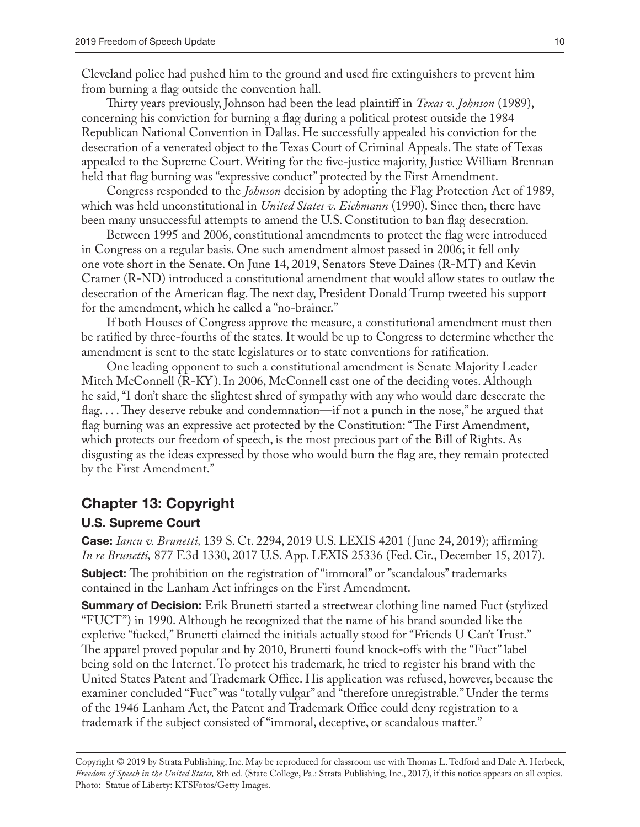Cleveland police had pushed him to the ground and used fire extinguishers to prevent him from burning a flag outside the convention hall.

Thirty years previously, Johnson had been the lead plaintiff in *Texas v. Johnson* (1989), concerning his conviction for burning a flag during a political protest outside the 1984 Republican National Convention in Dallas. He successfully appealed his conviction for the desecration of a venerated object to the Texas Court of Criminal Appeals. The state of Texas appealed to the Supreme Court. Writing for the five-justice majority, Justice William Brennan held that flag burning was "expressive conduct" protected by the First Amendment.

Congress responded to the *Johnson* decision by adopting the Flag Protection Act of 1989, which was held unconstitutional in *United States v. Eichmann* (1990). Since then, there have been many unsuccessful attempts to amend the U.S. Constitution to ban flag desecration.

Between 1995 and 2006, constitutional amendments to protect the flag were introduced in Congress on a regular basis. One such amendment almost passed in 2006; it fell only one vote short in the Senate. On June 14, 2019, Senators Steve Daines (R-MT) and Kevin Cramer (R-ND) introduced a constitutional amendment that would allow states to outlaw the desecration of the American flag. The next day, President Donald Trump tweeted his support for the amendment, which he called a "no-brainer."

If both Houses of Congress approve the measure, a constitutional amendment must then be ratified by three-fourths of the states. It would be up to Congress to determine whether the amendment is sent to the state legislatures or to state conventions for ratification.

One leading opponent to such a constitutional amendment is Senate Majority Leader Mitch McConnell (R-KY). In 2006, McConnell cast one of the deciding votes. Although he said, "I don't share the slightest shred of sympathy with any who would dare desecrate the flag. . . . They deserve rebuke and condemnation—if not a punch in the nose," he argued that flag burning was an expressive act protected by the Constitution: "The First Amendment, which protects our freedom of speech, is the most precious part of the Bill of Rights. As disgusting as the ideas expressed by those who would burn the flag are, they remain protected by the First Amendment."

# **Chapter 13: Copyright**

#### **U.S. Supreme Court**

**Case:** *Iancu v. Brunetti,* 139 S. Ct. 2294, 2019 U.S. LEXIS 4201 ( June 24, 2019); affirming *In re Brunetti,* 877 F.3d 1330, 2017 U.S. App. LEXIS 25336 (Fed. Cir., December 15, 2017). **Subject:** The prohibition on the registration of "immoral" or "scandalous" trademarks contained in the Lanham Act infringes on the First Amendment.

**Summary of Decision:** Erik Brunetti started a streetwear clothing line named Fuct (stylized "FUCT") in 1990. Although he recognized that the name of his brand sounded like the expletive "fucked," Brunetti claimed the initials actually stood for "Friends U Can't Trust." The apparel proved popular and by 2010, Brunetti found knock-offs with the "Fuct" label being sold on the Internet. To protect his trademark, he tried to register his brand with the United States Patent and Trademark Office. His application was refused, however, because the examiner concluded "Fuct" was "totally vulgar" and "therefore unregistrable." Under the terms of the 1946 Lanham Act, the Patent and Trademark Office could deny registration to a trademark if the subject consisted of "immoral, deceptive, or scandalous matter."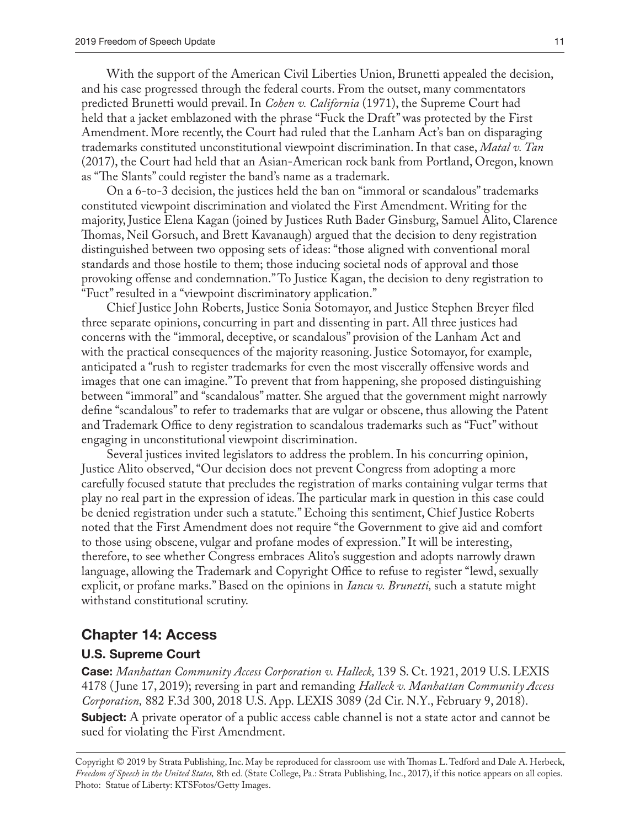With the support of the American Civil Liberties Union, Brunetti appealed the decision, and his case progressed through the federal courts. From the outset, many commentators predicted Brunetti would prevail. In *Cohen v. California* (1971), the Supreme Court had held that a jacket emblazoned with the phrase "Fuck the Draft" was protected by the First Amendment. More recently, the Court had ruled that the Lanham Act's ban on disparaging trademarks constituted unconstitutional viewpoint discrimination. In that case, *Matal v. Tan*  (2017), the Court had held that an Asian-American rock bank from Portland, Oregon, known as "The Slants" could register the band's name as a trademark.

On a 6-to-3 decision, the justices held the ban on "immoral or scandalous" trademarks constituted viewpoint discrimination and violated the First Amendment. Writing for the majority, Justice Elena Kagan (joined by Justices Ruth Bader Ginsburg, Samuel Alito, Clarence Thomas, Neil Gorsuch, and Brett Kavanaugh) argued that the decision to deny registration distinguished between two opposing sets of ideas: "those aligned with conventional moral standards and those hostile to them; those inducing societal nods of approval and those provoking offense and condemnation." To Justice Kagan, the decision to deny registration to "Fuct" resulted in a "viewpoint discriminatory application."

Chief Justice John Roberts, Justice Sonia Sotomayor, and Justice Stephen Breyer filed three separate opinions, concurring in part and dissenting in part. All three justices had concerns with the "immoral, deceptive, or scandalous" provision of the Lanham Act and with the practical consequences of the majority reasoning. Justice Sotomayor, for example, anticipated a "rush to register trademarks for even the most viscerally offensive words and images that one can imagine." To prevent that from happening, she proposed distinguishing between "immoral" and "scandalous" matter. She argued that the government might narrowly define "scandalous" to refer to trademarks that are vulgar or obscene, thus allowing the Patent and Trademark Office to deny registration to scandalous trademarks such as "Fuct" without engaging in unconstitutional viewpoint discrimination.

Several justices invited legislators to address the problem. In his concurring opinion, Justice Alito observed, "Our decision does not prevent Congress from adopting a more carefully focused statute that precludes the registration of marks containing vulgar terms that play no real part in the expression of ideas. The particular mark in question in this case could be denied registration under such a statute." Echoing this sentiment, Chief Justice Roberts noted that the First Amendment does not require "the Government to give aid and comfort to those using obscene, vulgar and profane modes of expression." It will be interesting, therefore, to see whether Congress embraces Alito's suggestion and adopts narrowly drawn language, allowing the Trademark and Copyright Office to refuse to register "lewd, sexually explicit, or profane marks." Based on the opinions in *Iancu v. Brunetti,* such a statute might withstand constitutional scrutiny.

#### **Chapter 14: Access**

#### **U.S. Supreme Court**

**Case:** *Manhattan Community Access Corporation v. Halleck,* 139 S. Ct. 1921, 2019 U.S. LEXIS 4178 ( June 17, 2019); reversing in part and remanding *Halleck v. Manhattan Community Access Corporation,* 882 F.3d 300, 2018 U.S. App. LEXIS 3089 (2d Cir. N.Y., February 9, 2018). **Subject:** A private operator of a public access cable channel is not a state actor and cannot be sued for violating the First Amendment.